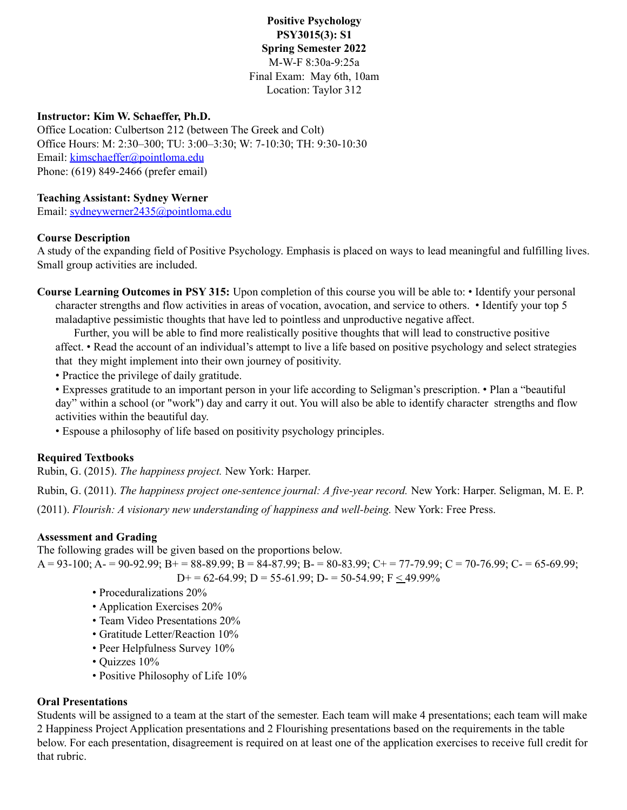**Positive Psychology PSY3015(3): S1 Spring Semester 2022** M-W-F 8:30a-9:25a Final Exam: May 6th, 10am Location: Taylor 312

#### **Instructor: Kim W. Schaeffer, Ph.D.**

Office Location: Culbertson 212 (between The Greek and Colt) Office Hours: M: 2:30–300; TU: 3:00–3:30; W: 7-10:30; TH: 9:30-10:30 Email: kimschaeffer@pointloma.edu Phone: (619) 849-2466 (prefer email)

#### **Teaching Assistant: Sydney Werner**

Email: sydneywerner2435@pointloma.edu

#### **Course Description**

A study of the expanding field of Positive Psychology. Emphasis is placed on ways to lead meaningful and fulfilling lives. Small group activities are included.

**Course Learning Outcomes in PSY 315:** Upon completion of this course you will be able to: • Identify your personal character strengths and flow activities in areas of vocation, avocation, and service to others. • Identify your top 5 maladaptive pessimistic thoughts that have led to pointless and unproductive negative affect.

Further, you will be able to find more realistically positive thoughts that will lead to constructive positive affect. • Read the account of an individual's attempt to live a life based on positive psychology and select strategies that they might implement into their own journey of positivity.

• Practice the privilege of daily gratitude.

• Expresses gratitude to an important person in your life according to Seligman's prescription. • Plan a "beautiful day" within a school (or "work") day and carry it out. You will also be able to identify character strengths and flow activities within the beautiful day.

• Espouse a philosophy of life based on positivity psychology principles.

#### **Required Textbooks**

Rubin, G. (2015). *The happiness project.* New York: Harper.

Rubin, G. (2011). *The happiness project one-sentence journal: A five-year record.* New York: Harper. Seligman, M. E. P. (2011). *Flourish: A visionary new understanding of happiness and well-being.* New York: Free Press.

#### **Assessment and Grading**

The following grades will be given based on the proportions below.

 $A = 93-100$ ;  $A = 90-92.99$ ;  $B = 88-89.99$ ;  $B = 84-87.99$ ;  $B = 80-83.99$ ;  $C + 77-79.99$ ;  $C = 70-76.99$ ;  $C = 65-69.99$ ;  $D+= 62-64.99$ ;  $D = 55-61.99$ ;  $D = 50-54.99$ ;  $F \le 49.99\%$ 

- Proceduralizations 20%
- Application Exercises 20%
- Team Video Presentations 20%
- Gratitude Letter/Reaction 10%
- Peer Helpfulness Survey 10%
- Quizzes 10%
- Positive Philosophy of Life 10%

#### **Oral Presentations**

Students will be assigned to a team at the start of the semester. Each team will make 4 presentations; each team will make 2 Happiness Project Application presentations and 2 Flourishing presentations based on the requirements in the table below. For each presentation, disagreement is required on at least one of the application exercises to receive full credit for that rubric.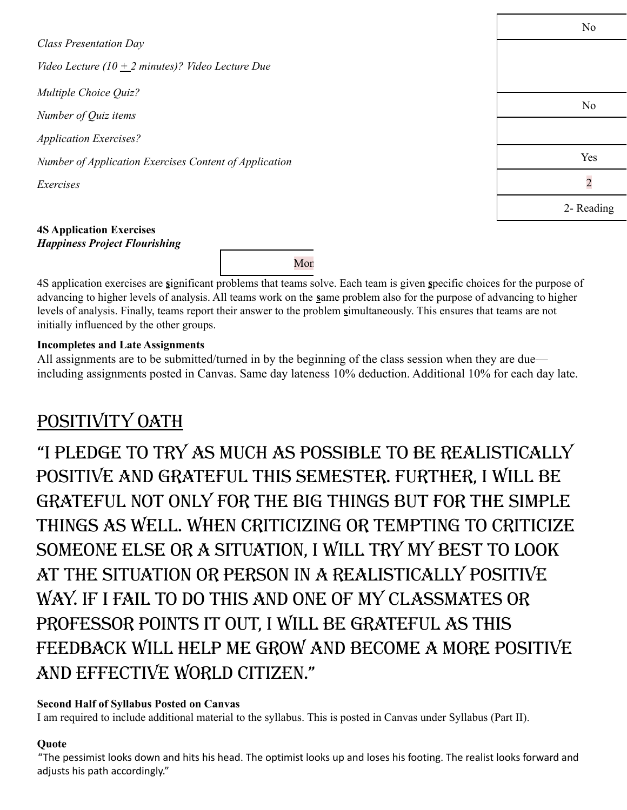*Class Presentation Day Video Lecture* (10  $+$  2 *minutes*)? *Video Lecture Due Multiple Choice Quiz? Number of Quiz items Application Exercises? Number of Application Exercises Content of Application Exercises*

No No Yes 2 2- Reading

#### **4S Application Exercises** *Happiness Project Flourishing*

Mon

4S application exercises are **s**ignificant problems that teams solve. Each team is given **s**pecific choices for the purpose of advancing to higher levels of analysis. All teams work on the **s**ame problem also for the purpose of advancing to higher levels of analysis. Finally, teams report their answer to the problem **s**imultaneously. This ensures that teams are not initially influenced by the other groups.

## **Incompletes and Late Assignments**

All assignments are to be submitted/turned in by the beginning of the class session when they are due including assignments posted in Canvas. Same day lateness 10% deduction. Additional 10% for each day late.

# POSITIVITY OATH

"I pledge to try as much as possIble to be realIstIcally positive and grateful this semester. Further, I will be grateful not only for the big things but for the simple things as well. When criticizing or tempting to criticize someone else or a situation, I will try my best to look at the situation or person in a realistically positive way. If I fail to do this and one of my classmates or professor points it out, I will be grateful as this feedback will help me grow and become a more positive and effective world citizen."

## **Second Half of Syllabus Posted on Canvas**

I am required to include additional material to the syllabus. This is posted in Canvas under Syllabus (Part II).

## **Quote**

"The pessimist looks down and hits his head. The optimist looks up and loses his footing. The realist looks forward and adjusts his path accordingly."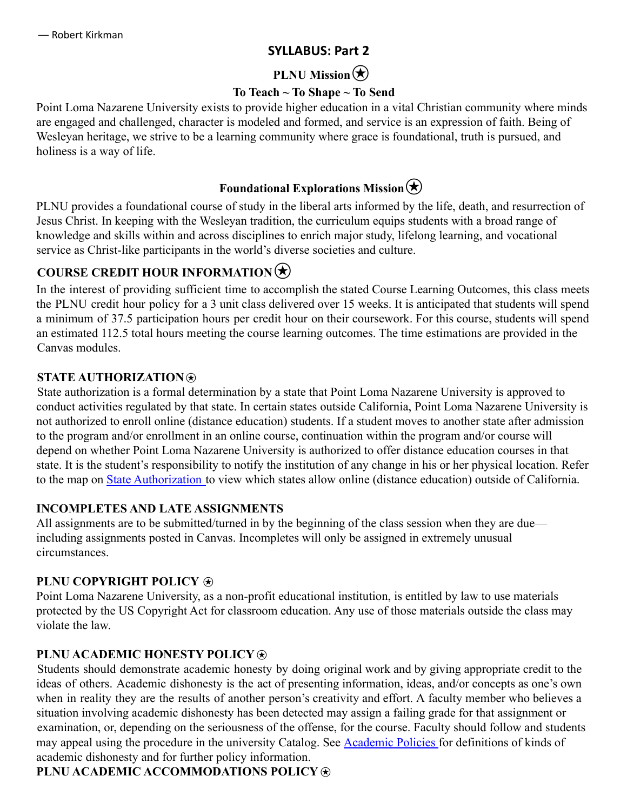## **SYLLABUS: Part 2**

# **PLNU** Mission  $\left(\star\right)$

## **To Teach ~ To Shape ~ To Send**

Point Loma Nazarene University exists to provide higher education in a vital Christian community where minds are engaged and challenged, character is modeled and formed, and service is an expression of faith. Being of Wesleyan heritage, we strive to be a learning community where grace is foundational, truth is pursued, and holiness is a way of life.

# **Foundational Explorations Mission** $\bigstar$

PLNU provides a foundational course of study in the liberal arts informed by the life, death, and resurrection of Jesus Christ. In keeping with the Wesleyan tradition, the curriculum equips students with a broad range of knowledge and skills within and across disciplines to enrich major study, lifelong learning, and vocational service as Christ-like participants in the world's diverse societies and culture.

# **COURSE CREDIT HOUR INFORMATION**

In the interest of providing sufficient time to accomplish the stated Course Learning Outcomes, this class meets the PLNU credit hour policy for a 3 unit class delivered over 15 weeks. It is anticipated that students will spend a minimum of 37.5 participation hours per credit hour on their coursework. For this course, students will spend an estimated 112.5 total hours meeting the course learning outcomes. The time estimations are provided in the Canvas modules.

## **STATE AUTHORIZATION**⍟

State authorization is a formal determination by a state that Point Loma Nazarene University is approved to conduct activities regulated by that state. In certain states outside California, Point Loma Nazarene University is not authorized to enroll online (distance education) students. If a student moves to another state after admission to the program and/or enrollment in an online course, continuation within the program and/or course will depend on whether Point Loma Nazarene University is authorized to offer distance education courses in that state. It is the student's responsibility to notify the institution of any change in his or her physical location. Refer to the map on State Authorization to view which states allow online (distance education) outside of California.

## **INCOMPLETES AND LATE ASSIGNMENTS**

All assignments are to be submitted/turned in by the beginning of the class session when they are due including assignments posted in Canvas. Incompletes will only be assigned in extremely unusual circumstances.

## **PLNU COPYRIGHT POLICY**  $\otimes$

Point Loma Nazarene University, as a non-profit educational institution, is entitled by law to use materials protected by the US Copyright Act for classroom education. Any use of those materials outside the class may violate the law.

## **PLNU ACADEMIC HONESTY POLICY**  $\circledast$

Students should demonstrate academic honesty by doing original work and by giving appropriate credit to the ideas of others. Academic dishonesty is the act of presenting information, ideas, and/or concepts as one's own when in reality they are the results of another person's creativity and effort. A faculty member who believes a situation involving academic dishonesty has been detected may assign a failing grade for that assignment or examination, or, depending on the seriousness of the offense, for the course. Faculty should follow and students may appeal using the procedure in the university Catalog. See Academic Policies for definitions of kinds of academic dishonesty and for further policy information.

## **PLNU ACADEMIC ACCOMMODATIONS POLICY**